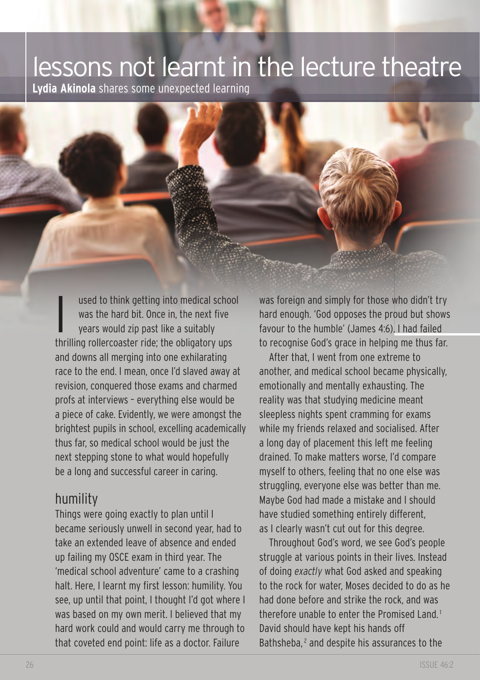## lessons not learnt in the lecture theatre

**Lydia Akinola** shares some unexpected learning

I used to think getting into medical school<br>was the hard bit. Once in, the next five<br>years would zip past like a suitably was the hard bit. Once in, the next five thrilling rollercoaster ride; the obligatory ups and downs all merging into one exhilarating race to the end. I mean, once I'd slaved away at revision, conquered those exams and charmed profs at interviews – everything else would be a piece of cake. Evidently, we were amongst the brightest pupils in school, excelling academically thus far, so medical school would be just the next stepping stone to what would hopefully be a long and successful career in caring.

## humility

Things were going exactly to plan until I became seriously unwell in second year, had to take an extended leave of absence and ended up failing my OSCE exam in third year. The 'medical school adventure' came to a crashing halt. Here, I learnt my first lesson: humility. You see, up until that point, I thought I'd got where I was based on my own merit. I believed that my hard work could and would carry me through to that coveted end point: life as a doctor. Failure

was foreign and simply for those who didn't try hard enough. 'God opposes the proud but shows favour to the humble' (James 4:6). I had failed to recognise God's grace in helping me thus far.

After that, I went from one extreme to another, and medical school became physically, emotionally and mentally exhausting. The reality was that studying medicine meant sleepless nights spent cramming for exams while my friends relaxed and socialised. After a long day of placement this left me feeling drained. To make matters worse, I'd compare myself to others, feeling that no one else was struggling, everyone else was better than me. Maybe God had made a mistake and I should have studied something entirely different, as I clearly wasn't cut out for this degree.

Throughout God's word, we see God's people struggle at various points in their lives. Instead of doing *exactly* what God asked and speaking to the rock for water, Moses decided to do as he had done before and strike the rock, and was therefore unable to enter the Promised Land. <sup>1</sup> David should have kept his hands off Bathsheba,<sup>2</sup> and despite his assurances to the